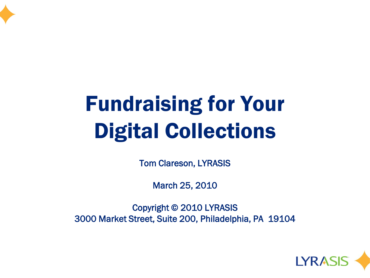

## Fundraising for Your Digital Collections

Tom Clareson, LYRASIS

March 25, 2010

Copyright © 2010 LYRASIS 3000 Market Street, Suite 200, Philadelphia, PA 19104

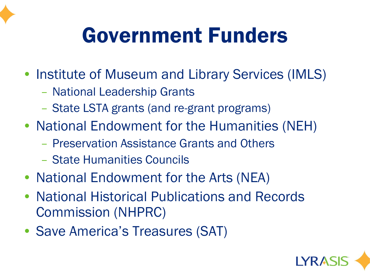### Government Funders

- Institute of Museum and Library Services (IMLS)
	- National Leadership Grants
	- State LSTA grants (and re-grant programs)
- National Endowment for the Humanities (NEH)
	- Preservation Assistance Grants and Others
	- State Humanities Councils
- National Endowment for the Arts (NEA)
- National Historical Publications and Records Commission (NHPRC)
- Save America's Treasures (SAT)

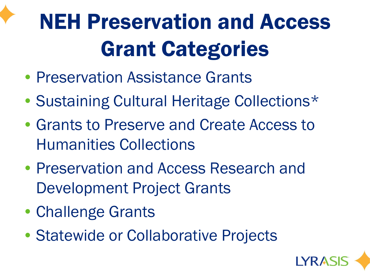# NEH Preservation and Access Grant Categories

- Preservation Assistance Grants
- Sustaining Cultural Heritage Collections\*
- Grants to Preserve and Create Access to Humanities Collections
- Preservation and Access Research and Development Project Grants
- Challenge Grants
- Statewide or Collaborative Projects

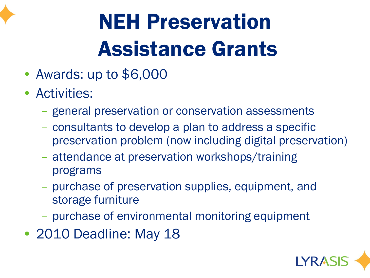

# NEH Preservation Assistance Grants

- Awards: up to \$6,000
- Activities:
	- general preservation or conservation assessments
	- consultants to develop a plan to address a specific preservation problem (now including digital preservation)
	- attendance at preservation workshops/training programs
	- purchase of preservation supplies, equipment, and storage furniture
	- purchase of environmental monitoring equipment
- 2010 Deadline: May 18

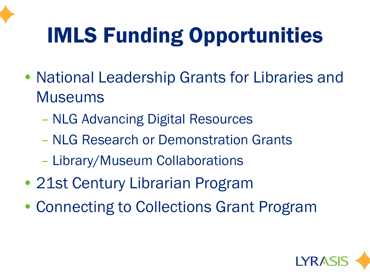## IMLS Funding Opportunities

- National Leadership Grants for Libraries and Museums
	- NLG Advancing Digital Resources
	- NLG Research or Demonstration Grants
	- Library/Museum Collaborations
- 21st Century Librarian Program
- Connecting to Collections Grant Program

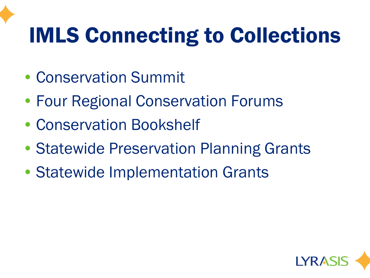## IMLS Connecting to Collections

- Conservation Summit
- Four Regional Conservation Forums
- Conservation Bookshelf
- Statewide Preservation Planning Grants
- Statewide Implementation Grants

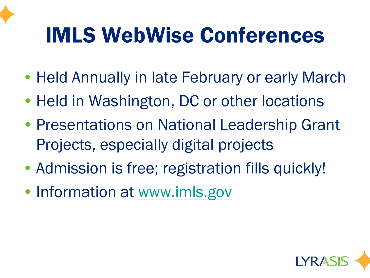### IMLS WebWise Conferences

- Held Annually in late February or early March
- Held in Washington, DC or other locations
- Presentations on National Leadership Grant Projects, especially digital projects
- Admission is free; registration fills quickly!
- Information at [www.imls.gov](http://www.imls.gov/)

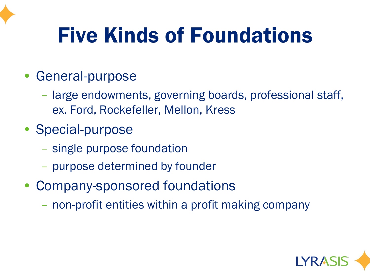### Five Kinds of Foundations

- General-purpose
	- large endowments, governing boards, professional staff, ex. Ford, Rockefeller, Mellon, Kress
- Special-purpose
	- single purpose foundation
	- purpose determined by founder
- Company-sponsored foundations
	- non-profit entities within a profit making company

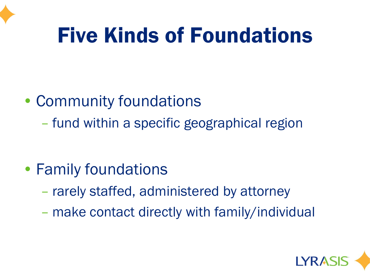### Five Kinds of Foundations

#### • Community foundations

– fund within a specific geographical region

#### • Family foundations

- rarely staffed, administered by attorney
- make contact directly with family/individual

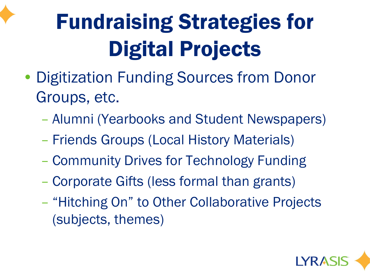# Fundraising Strategies for Digital Projects

- Digitization Funding Sources from Donor Groups, etc.
	- Alumni (Yearbooks and Student Newspapers)
	- Friends Groups (Local History Materials)
	- Community Drives for Technology Funding
	- Corporate Gifts (less formal than grants)
	- "Hitching On" to Other Collaborative Projects (subjects, themes)

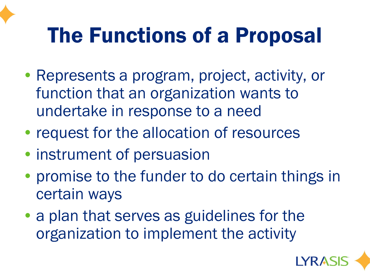### The Functions of a Proposal

- Represents a program, project, activity, or function that an organization wants to undertake in response to a need
- request for the allocation of resources
- instrument of persuasion
- promise to the funder to do certain things in certain ways
- a plan that serves as guidelines for the organization to implement the activity

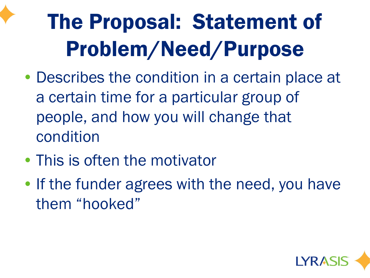# The Proposal: Statement of Problem/Need/Purpose

- Describes the condition in a certain place at a certain time for a particular group of people, and how you will change that condition
- This is often the motivator
- If the funder agrees with the need, you have them "hooked"

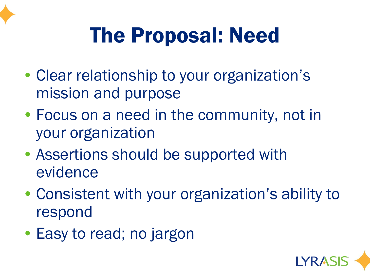

## The Proposal: Need

- Clear relationship to your organization's mission and purpose
- Focus on a need in the community, not in your organization
- Assertions should be supported with evidence
- Consistent with your organization's ability to respond
- Easy to read; no jargon

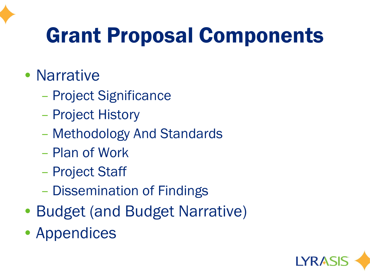### Grant Proposal Components

- Narrative
	- Project Significance
	- Project History
	- Methodology And Standards
	- Plan of Work
	- Project Staff
	- Dissemination of Findings
- Budget (and Budget Narrative)
- Appendices

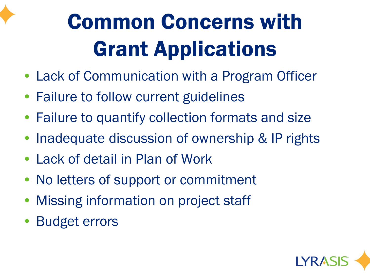

# Common Concerns with Grant Applications

- Lack of Communication with a Program Officer
- Failure to follow current guidelines
- Failure to quantify collection formats and size
- Inadequate discussion of ownership & IP rights
- Lack of detail in Plan of Work
- No letters of support or commitment
- Missing information on project staff
- Budget errors

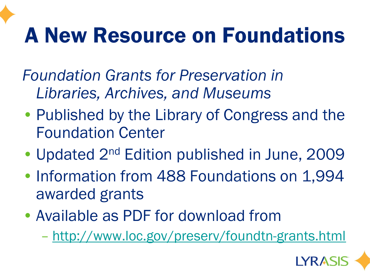### A New Resource on Foundations

*Foundation Grants for Preservation in Libraries, Archives, and Museums*

- Published by the Library of Congress and the Foundation Center
- Updated 2<sup>nd</sup> Edition published in June, 2009
- Information from 488 Foundations on 1,994 awarded grants
- Available as PDF for download from
	- <http://www.loc.gov/preserv/foundtn-grants.html>

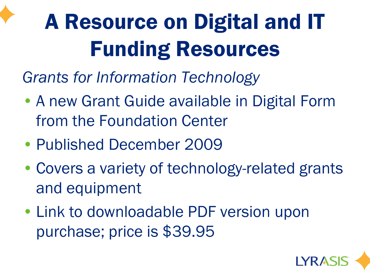# A Resource on Digital and IT Funding Resources

*Grants for Information Technology*

- A new Grant Guide available in Digital Form from the Foundation Center
- Published December 2009
- Covers a variety of technology-related grants and equipment
- Link to downloadable PDF version upon purchase; price is \$39.95